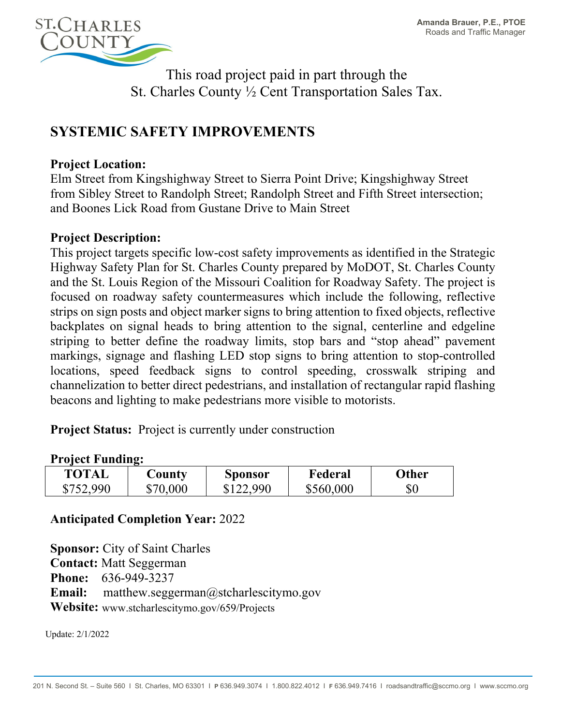

This road project paid in part through the St. Charles County ½ Cent Transportation Sales Tax.

# **SYSTEMIC SAFETY IMPROVEMENTS**

# **Project Location:**

Elm Street from Kingshighway Street to Sierra Point Drive; Kingshighway Street from Sibley Street to Randolph Street; Randolph Street and Fifth Street intersection; and Boones Lick Road from Gustane Drive to Main Street

# **Project Description:**

This project targets specific low-cost safety improvements as identified in the Strategic Highway Safety Plan for St. Charles County prepared by MoDOT, St. Charles County and the St. Louis Region of the Missouri Coalition for Roadway Safety. The project is focused on roadway safety countermeasures which include the following, reflective strips on sign posts and object marker signs to bring attention to fixed objects, reflective backplates on signal heads to bring attention to the signal, centerline and edgeline striping to better define the roadway limits, stop bars and "stop ahead" pavement markings, signage and flashing LED stop signs to bring attention to stop-controlled locations, speed feedback signs to control speeding, crosswalk striping and channelization to better direct pedestrians, and installation of rectangular rapid flashing beacons and lighting to make pedestrians more visible to motorists.

**Project Status:** Project is currently under construction

### **Project Funding:**

| <b>TOTAL</b> | $\mathbf$ $\mathbf{-}$ ounty | <b>Sponsor</b> | Federal   | Other |
|--------------|------------------------------|----------------|-----------|-------|
| \$752,990    | \$70,000                     | \$122,990      | \$560,000 | \$0   |

### **Anticipated Completion Year:** 2022

**Sponsor:** City of Saint Charles **Contact:** Matt Seggerman **Phone:** 636-949-3237 **Email:** matthew.seggerman@stcharlescitymo.gov **Website:** www.stcharlescitymo.gov/659/Projects

Update: 2/1/2022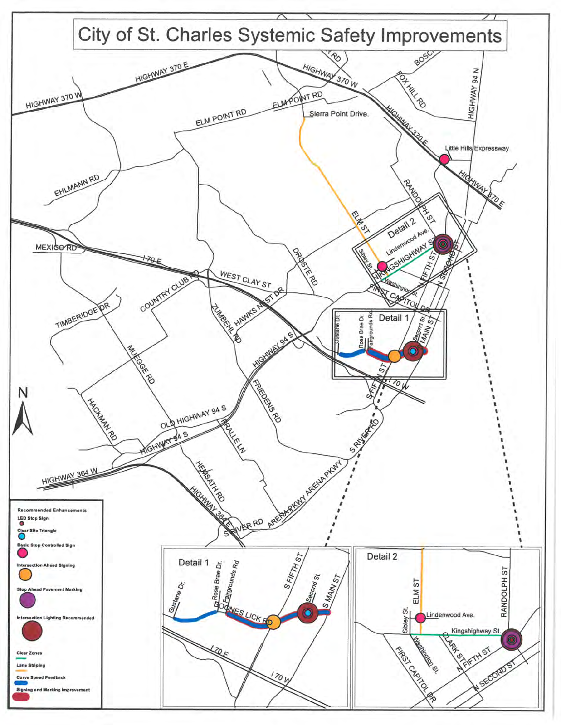